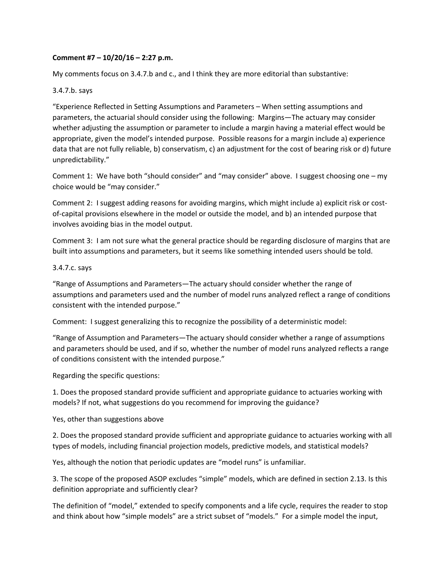## **Comment #7 – 10/20/16 – 2:27 p.m.**

My comments focus on 3.4.7.b and c., and I think they are more editorial than substantive:

## 3.4.7.b. says

"Experience Reflected in Setting Assumptions and Parameters – When setting assumptions and parameters, the actuarial should consider using the following: Margins—The actuary may consider whether adjusting the assumption or parameter to include a margin having a material effect would be appropriate, given the model's intended purpose. Possible reasons for a margin include a) experience data that are not fully reliable, b) conservatism, c) an adjustment for the cost of bearing risk or d) future unpredictability."

Comment 1: We have both "should consider" and "may consider" above. I suggest choosing one – my choice would be "may consider."

Comment 2: I suggest adding reasons for avoiding margins, which might include a) explicit risk or cost‐ of-capital provisions elsewhere in the model or outside the model, and b) an intended purpose that involves avoiding bias in the model output.

Comment 3: I am not sure what the general practice should be regarding disclosure of margins that are built into assumptions and parameters, but it seems like something intended users should be told.

## 3.4.7.c. says

"Range of Assumptions and Parameters—The actuary should consider whether the range of assumptions and parameters used and the number of model runs analyzed reflect a range of conditions consistent with the intended purpose."

Comment: I suggest generalizing this to recognize the possibility of a deterministic model:

"Range of Assumption and Parameters—The actuary should consider whether a range of assumptions and parameters should be used, and if so, whether the number of model runs analyzed reflects a range of conditions consistent with the intended purpose."

Regarding the specific questions:

1. Does the proposed standard provide sufficient and appropriate guidance to actuaries working with models? If not, what suggestions do you recommend for improving the guidance?

Yes, other than suggestions above

2. Does the proposed standard provide sufficient and appropriate guidance to actuaries working with all types of models, including financial projection models, predictive models, and statistical models?

Yes, although the notion that periodic updates are "model runs" is unfamiliar.

3. The scope of the proposed ASOP excludes "simple" models, which are defined in section 2.13. Is this definition appropriate and sufficiently clear?

The definition of "model," extended to specify components and a life cycle, requires the reader to stop and think about how "simple models" are a strict subset of "models." For a simple model the input,